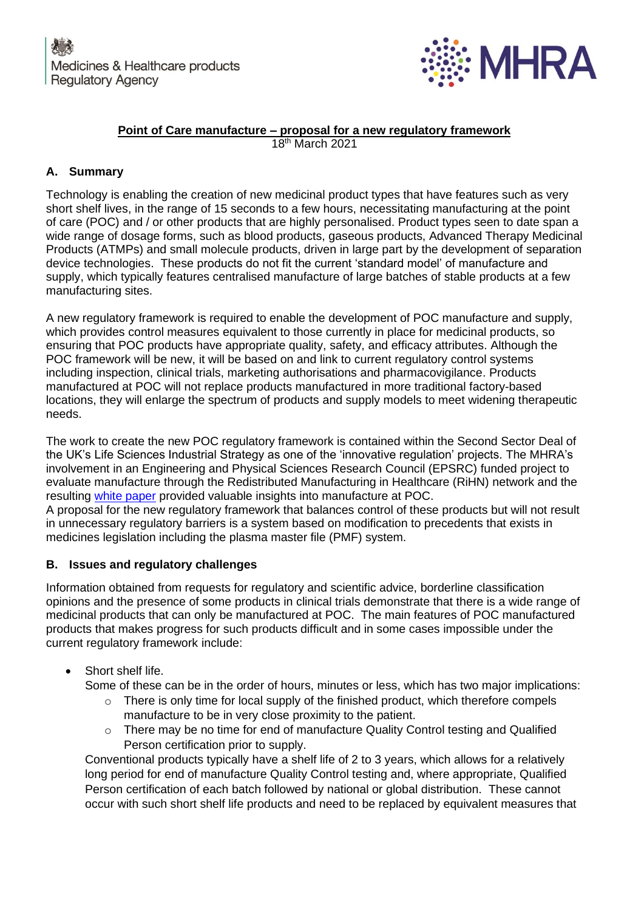

# **Point of Care manufacture – proposal for a new regulatory framework**

18th March 2021

## **A. Summary**

Technology is enabling the creation of new medicinal product types that have features such as very short shelf lives, in the range of 15 seconds to a few hours, necessitating manufacturing at the point of care (POC) and / or other products that are highly personalised. Product types seen to date span a wide range of dosage forms, such as blood products, gaseous products, Advanced Therapy Medicinal Products (ATMPs) and small molecule products, driven in large part by the development of separation device technologies. These products do not fit the current 'standard model' of manufacture and supply, which typically features centralised manufacture of large batches of stable products at a few manufacturing sites.

A new regulatory framework is required to enable the development of POC manufacture and supply, which provides control measures equivalent to those currently in place for medicinal products, so ensuring that POC products have appropriate quality, safety, and efficacy attributes. Although the POC framework will be new, it will be based on and link to current regulatory control systems including inspection, clinical trials, marketing authorisations and pharmacovigilance. Products manufactured at POC will not replace products manufactured in more traditional factory-based locations, they will enlarge the spectrum of products and supply models to meet widening therapeutic needs.

The work to create the new POC regulatory framework is contained within the Second Sector Deal of the UK's Life Sciences Industrial Strategy as one of the 'innovative regulation' projects. The MHRA's involvement in an Engineering and Physical Sciences Research Council (EPSRC) funded project to evaluate manufacture through the Redistributed Manufacturing in Healthcare (RiHN) network and the resulting [white paper](http://www.rihn.org.uk/wp-content/uploads/2018/01/RiHN_WP_Full_double_web.pdf) provided valuable insights into manufacture at POC.

A proposal for the new regulatory framework that balances control of these products but will not result in unnecessary regulatory barriers is a system based on modification to precedents that exists in medicines legislation including the plasma master file (PMF) system.

## **B. Issues and regulatory challenges**

Information obtained from requests for regulatory and scientific advice, borderline classification opinions and the presence of some products in clinical trials demonstrate that there is a wide range of medicinal products that can only be manufactured at POC. The main features of POC manufactured products that makes progress for such products difficult and in some cases impossible under the current regulatory framework include:

Short shelf life.

Some of these can be in the order of hours, minutes or less, which has two major implications:

- $\circ$  There is only time for local supply of the finished product, which therefore compels manufacture to be in very close proximity to the patient.
- o There may be no time for end of manufacture Quality Control testing and Qualified Person certification prior to supply.

Conventional products typically have a shelf life of 2 to 3 years, which allows for a relatively long period for end of manufacture Quality Control testing and, where appropriate, Qualified Person certification of each batch followed by national or global distribution. These cannot occur with such short shelf life products and need to be replaced by equivalent measures that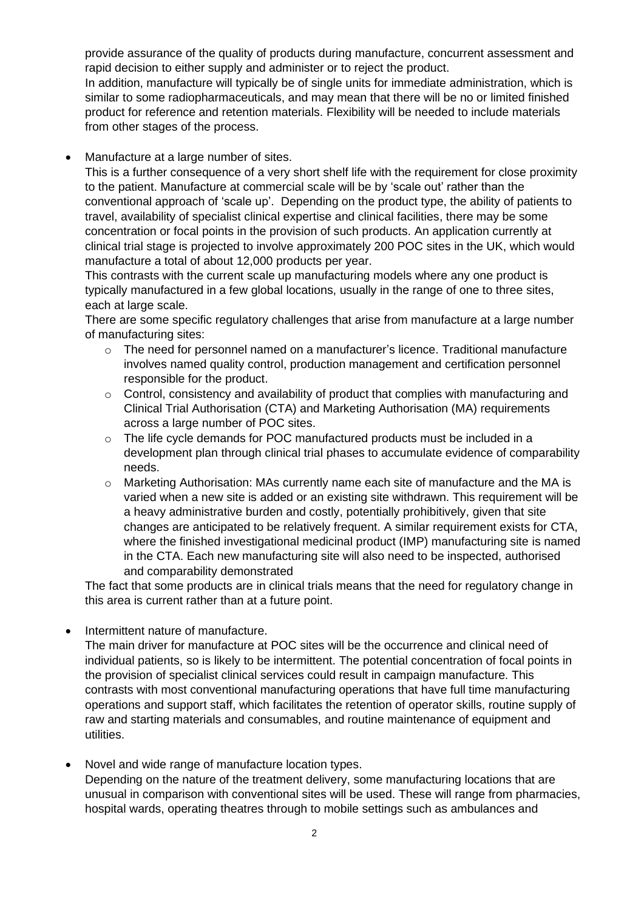provide assurance of the quality of products during manufacture, concurrent assessment and rapid decision to either supply and administer or to reject the product.

In addition, manufacture will typically be of single units for immediate administration, which is similar to some radiopharmaceuticals, and may mean that there will be no or limited finished product for reference and retention materials. Flexibility will be needed to include materials from other stages of the process.

Manufacture at a large number of sites.

This is a further consequence of a very short shelf life with the requirement for close proximity to the patient. Manufacture at commercial scale will be by 'scale out' rather than the conventional approach of 'scale up'. Depending on the product type, the ability of patients to travel, availability of specialist clinical expertise and clinical facilities, there may be some concentration or focal points in the provision of such products. An application currently at clinical trial stage is projected to involve approximately 200 POC sites in the UK, which would manufacture a total of about 12,000 products per year.

This contrasts with the current scale up manufacturing models where any one product is typically manufactured in a few global locations, usually in the range of one to three sites, each at large scale.

There are some specific regulatory challenges that arise from manufacture at a large number of manufacturing sites:

- $\circ$  The need for personnel named on a manufacturer's licence. Traditional manufacture involves named quality control, production management and certification personnel responsible for the product.
- o Control, consistency and availability of product that complies with manufacturing and Clinical Trial Authorisation (CTA) and Marketing Authorisation (MA) requirements across a large number of POC sites.
- o The life cycle demands for POC manufactured products must be included in a development plan through clinical trial phases to accumulate evidence of comparability needs.
- o Marketing Authorisation: MAs currently name each site of manufacture and the MA is varied when a new site is added or an existing site withdrawn. This requirement will be a heavy administrative burden and costly, potentially prohibitively, given that site changes are anticipated to be relatively frequent. A similar requirement exists for CTA, where the finished investigational medicinal product (IMP) manufacturing site is named in the CTA. Each new manufacturing site will also need to be inspected, authorised and comparability demonstrated

The fact that some products are in clinical trials means that the need for regulatory change in this area is current rather than at a future point.

- Intermittent nature of manufacture.
	- The main driver for manufacture at POC sites will be the occurrence and clinical need of individual patients, so is likely to be intermittent. The potential concentration of focal points in the provision of specialist clinical services could result in campaign manufacture. This contrasts with most conventional manufacturing operations that have full time manufacturing operations and support staff, which facilitates the retention of operator skills, routine supply of raw and starting materials and consumables, and routine maintenance of equipment and utilities.
- Novel and wide range of manufacture location types. Depending on the nature of the treatment delivery, some manufacturing locations that are unusual in comparison with conventional sites will be used. These will range from pharmacies, hospital wards, operating theatres through to mobile settings such as ambulances and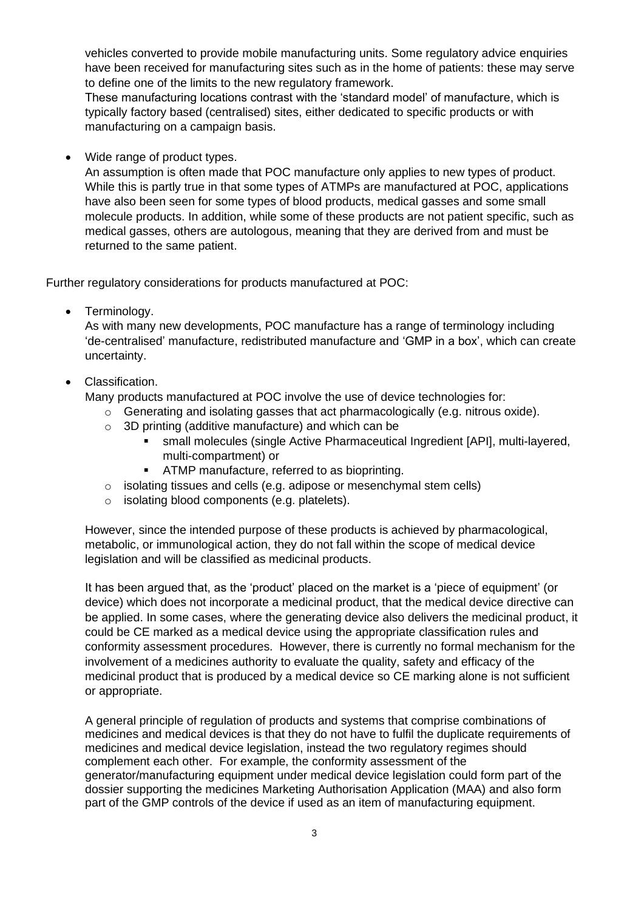vehicles converted to provide mobile manufacturing units. Some regulatory advice enquiries have been received for manufacturing sites such as in the home of patients: these may serve to define one of the limits to the new regulatory framework.

These manufacturing locations contrast with the 'standard model' of manufacture, which is typically factory based (centralised) sites, either dedicated to specific products or with manufacturing on a campaign basis.

• Wide range of product types.

An assumption is often made that POC manufacture only applies to new types of product. While this is partly true in that some types of ATMPs are manufactured at POC, applications have also been seen for some types of blood products, medical gasses and some small molecule products. In addition, while some of these products are not patient specific, such as medical gasses, others are autologous, meaning that they are derived from and must be returned to the same patient.

Further regulatory considerations for products manufactured at POC:

• Terminology.

As with many new developments, POC manufacture has a range of terminology including 'de-centralised' manufacture, redistributed manufacture and 'GMP in a box', which can create uncertainty.

# • Classification.

- Many products manufactured at POC involve the use of device technologies for:
	- $\circ$  Generating and isolating gasses that act pharmacologically (e.g. nitrous oxide).
	- o 3D printing (additive manufacture) and which can be
		- small molecules (single Active Pharmaceutical Ingredient [API], multi-layered, multi-compartment) or
		- **EXECT** ATMP manufacture, referred to as bioprinting.
	- o isolating tissues and cells (e.g. adipose or mesenchymal stem cells)
	- o isolating blood components (e.g. platelets).

However, since the intended purpose of these products is achieved by pharmacological, metabolic, or immunological action, they do not fall within the scope of medical device legislation and will be classified as medicinal products.

It has been argued that, as the 'product' placed on the market is a 'piece of equipment' (or device) which does not incorporate a medicinal product, that the medical device directive can be applied. In some cases, where the generating device also delivers the medicinal product, it could be CE marked as a medical device using the appropriate classification rules and conformity assessment procedures. However, there is currently no formal mechanism for the involvement of a medicines authority to evaluate the quality, safety and efficacy of the medicinal product that is produced by a medical device so CE marking alone is not sufficient or appropriate.

A general principle of regulation of products and systems that comprise combinations of medicines and medical devices is that they do not have to fulfil the duplicate requirements of medicines and medical device legislation, instead the two regulatory regimes should complement each other. For example, the conformity assessment of the generator/manufacturing equipment under medical device legislation could form part of the dossier supporting the medicines Marketing Authorisation Application (MAA) and also form part of the GMP controls of the device if used as an item of manufacturing equipment.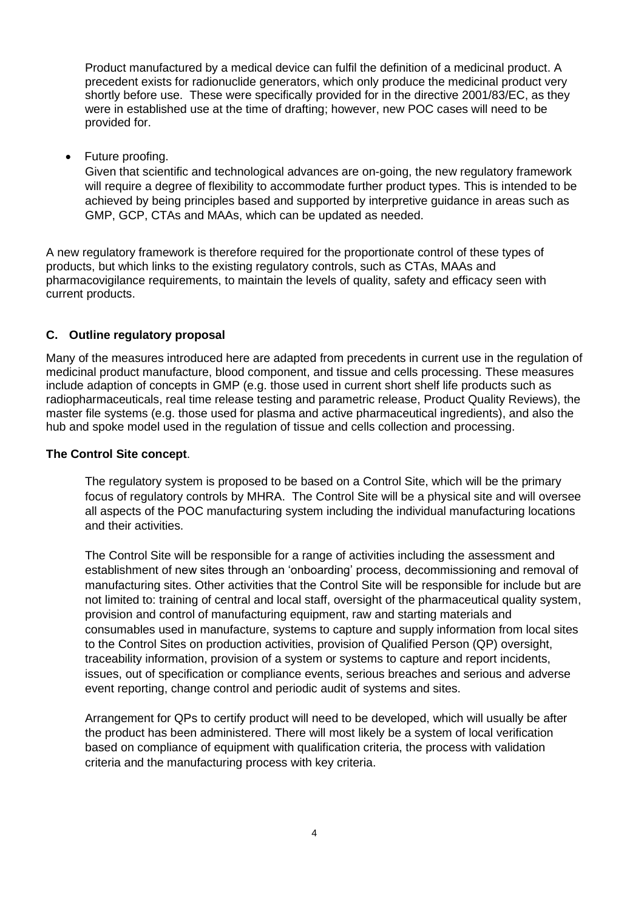Product manufactured by a medical device can fulfil the definition of a medicinal product. A precedent exists for radionuclide generators, which only produce the medicinal product very shortly before use. These were specifically provided for in the directive 2001/83/EC, as they were in established use at the time of drafting; however, new POC cases will need to be provided for.

• Future proofing.

Given that scientific and technological advances are on-going, the new regulatory framework will require a degree of flexibility to accommodate further product types. This is intended to be achieved by being principles based and supported by interpretive guidance in areas such as GMP, GCP, CTAs and MAAs, which can be updated as needed.

A new regulatory framework is therefore required for the proportionate control of these types of products, but which links to the existing regulatory controls, such as CTAs, MAAs and pharmacovigilance requirements, to maintain the levels of quality, safety and efficacy seen with current products.

### **C. Outline regulatory proposal**

Many of the measures introduced here are adapted from precedents in current use in the regulation of medicinal product manufacture, blood component, and tissue and cells processing. These measures include adaption of concepts in GMP (e.g. those used in current short shelf life products such as radiopharmaceuticals, real time release testing and parametric release, Product Quality Reviews), the master file systems (e.g. those used for plasma and active pharmaceutical ingredients), and also the hub and spoke model used in the regulation of tissue and cells collection and processing.

#### **The Control Site concept**.

The regulatory system is proposed to be based on a Control Site, which will be the primary focus of regulatory controls by MHRA. The Control Site will be a physical site and will oversee all aspects of the POC manufacturing system including the individual manufacturing locations and their activities.

The Control Site will be responsible for a range of activities including the assessment and establishment of new sites through an 'onboarding' process, decommissioning and removal of manufacturing sites. Other activities that the Control Site will be responsible for include but are not limited to: training of central and local staff, oversight of the pharmaceutical quality system, provision and control of manufacturing equipment, raw and starting materials and consumables used in manufacture, systems to capture and supply information from local sites to the Control Sites on production activities, provision of Qualified Person (QP) oversight, traceability information, provision of a system or systems to capture and report incidents, issues, out of specification or compliance events, serious breaches and serious and adverse event reporting, change control and periodic audit of systems and sites.

Arrangement for QPs to certify product will need to be developed, which will usually be after the product has been administered. There will most likely be a system of local verification based on compliance of equipment with qualification criteria, the process with validation criteria and the manufacturing process with key criteria.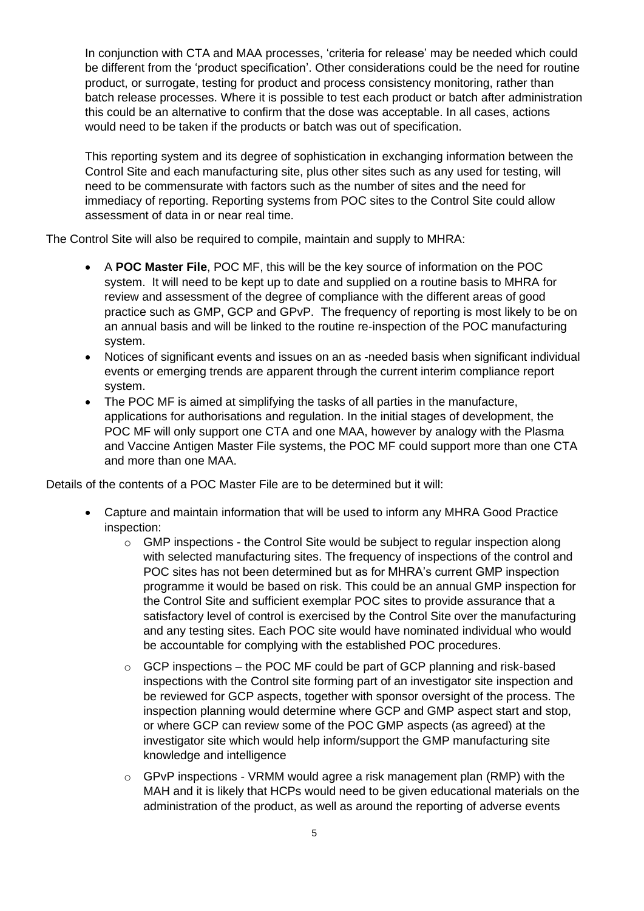In conjunction with CTA and MAA processes, 'criteria for release' may be needed which could be different from the 'product specification'. Other considerations could be the need for routine product, or surrogate, testing for product and process consistency monitoring, rather than batch release processes. Where it is possible to test each product or batch after administration this could be an alternative to confirm that the dose was acceptable. In all cases, actions would need to be taken if the products or batch was out of specification.

This reporting system and its degree of sophistication in exchanging information between the Control Site and each manufacturing site, plus other sites such as any used for testing, will need to be commensurate with factors such as the number of sites and the need for immediacy of reporting. Reporting systems from POC sites to the Control Site could allow assessment of data in or near real time.

The Control Site will also be required to compile, maintain and supply to MHRA:

- A **POC Master File**, POC MF, this will be the key source of information on the POC system. It will need to be kept up to date and supplied on a routine basis to MHRA for review and assessment of the degree of compliance with the different areas of good practice such as GMP, GCP and GPvP. The frequency of reporting is most likely to be on an annual basis and will be linked to the routine re-inspection of the POC manufacturing system.
- Notices of significant events and issues on an as -needed basis when significant individual events or emerging trends are apparent through the current interim compliance report system.
- The POC MF is aimed at simplifying the tasks of all parties in the manufacture, applications for authorisations and regulation. In the initial stages of development, the POC MF will only support one CTA and one MAA, however by analogy with the Plasma and Vaccine Antigen Master File systems, the POC MF could support more than one CTA and more than one MAA.

Details of the contents of a POC Master File are to be determined but it will:

- Capture and maintain information that will be used to inform any MHRA Good Practice inspection:
	- o GMP inspections the Control Site would be subject to regular inspection along with selected manufacturing sites. The frequency of inspections of the control and POC sites has not been determined but as for MHRA's current GMP inspection programme it would be based on risk. This could be an annual GMP inspection for the Control Site and sufficient exemplar POC sites to provide assurance that a satisfactory level of control is exercised by the Control Site over the manufacturing and any testing sites. Each POC site would have nominated individual who would be accountable for complying with the established POC procedures.
	- $\circ$  GCP inspections the POC MF could be part of GCP planning and risk-based inspections with the Control site forming part of an investigator site inspection and be reviewed for GCP aspects, together with sponsor oversight of the process. The inspection planning would determine where GCP and GMP aspect start and stop, or where GCP can review some of the POC GMP aspects (as agreed) at the investigator site which would help inform/support the GMP manufacturing site knowledge and intelligence
	- $\circ$  GPvP inspections VRMM would agree a risk management plan (RMP) with the MAH and it is likely that HCPs would need to be given educational materials on the administration of the product, as well as around the reporting of adverse events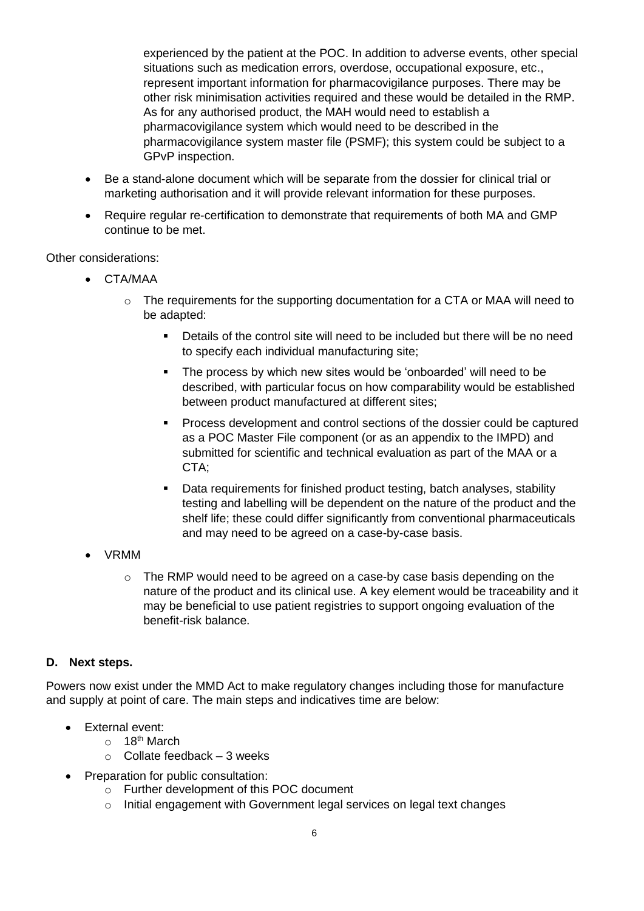experienced by the patient at the POC. In addition to adverse events, other special situations such as medication errors, overdose, occupational exposure, etc., represent important information for pharmacovigilance purposes. There may be other risk minimisation activities required and these would be detailed in the RMP. As for any authorised product, the MAH would need to establish a pharmacovigilance system which would need to be described in the pharmacovigilance system master file (PSMF); this system could be subject to a GPvP inspection.

- Be a stand-alone document which will be separate from the dossier for clinical trial or marketing authorisation and it will provide relevant information for these purposes.
- Require requiar re-certification to demonstrate that requirements of both MA and GMP continue to be met.

Other considerations:

- CTA/MAA
	- $\circ$  The requirements for the supporting documentation for a CTA or MAA will need to be adapted:
		- Details of the control site will need to be included but there will be no need to specify each individual manufacturing site;
		- **•** The process by which new sites would be 'onboarded' will need to be described, with particular focus on how comparability would be established between product manufactured at different sites;
		- Process development and control sections of the dossier could be captured as a POC Master File component (or as an appendix to the IMPD) and submitted for scientific and technical evaluation as part of the MAA or a CTA:
		- Data requirements for finished product testing, batch analyses, stability testing and labelling will be dependent on the nature of the product and the shelf life; these could differ significantly from conventional pharmaceuticals and may need to be agreed on a case-by-case basis.
- VRMM
	- o The RMP would need to be agreed on a case-by case basis depending on the nature of the product and its clinical use. A key element would be traceability and it may be beneficial to use patient registries to support ongoing evaluation of the benefit-risk balance.

### **D. Next steps.**

Powers now exist under the MMD Act to make regulatory changes including those for manufacture and supply at point of care. The main steps and indicatives time are below:

- External event:
	- $\circ$  18<sup>th</sup> March
	- $\circ$  Collate feedback 3 weeks
- Preparation for public consultation:
	- o Further development of this POC document
	- o Initial engagement with Government legal services on legal text changes